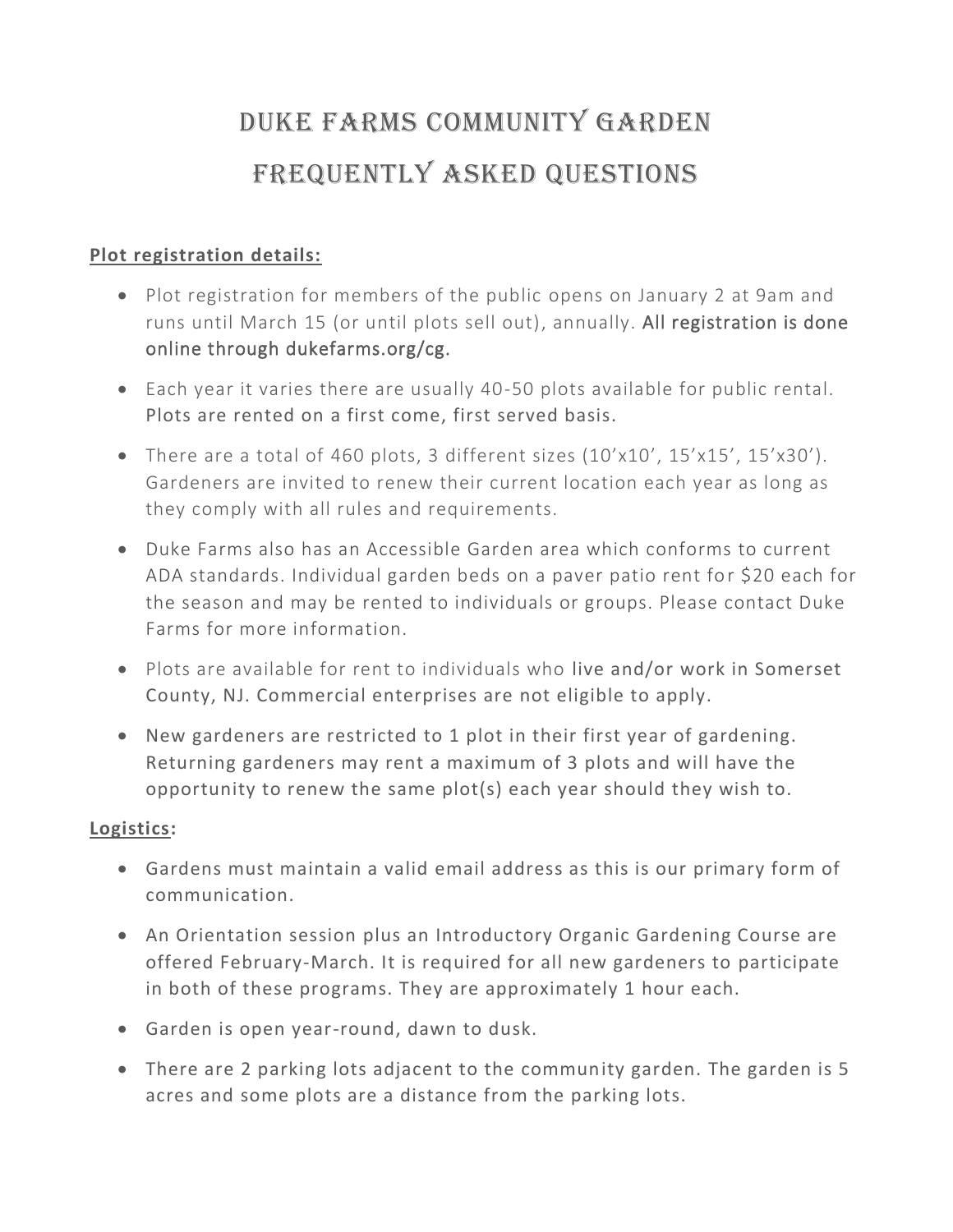## Duke Farms Community Garden Frequently Asked Questions

## **Plot registration details:**

- Plot registration for members of the public opens on January 2 at 9am and runs until March 15 (or until plots sell out), annually. All registration is done online through dukefarms.org/cg.
- Each year it varies there are usually 40-50 plots available for public rental. Plots are rented on a first come, first served basis.
- There are a total of 460 plots, 3 different sizes (10'x10', 15'x15', 15'x30'). Gardeners are invited to renew their current location each year as long as they comply with all rules and requirements.
- Duke Farms also has an Accessible Garden area which conforms to current ADA standards. Individual garden beds on a paver patio rent for \$20 each for the season and may be rented to individuals or groups. Please contact Duke Farms for more information.
- Plots are available for rent to individuals who live and/or work in Somerset County, NJ. Commercial enterprises are not eligible to apply.
- New gardeners are restricted to 1 plot in their first year of gardening. Returning gardeners may rent a maximum of 3 plots and will have the opportunity to renew the same plot(s) each year should they wish to.

## **Logistics:**

- Gardens must maintain a valid email address as this is our primary form of communication.
- An Orientation session plus an Introductory Organic Gardening Course are offered February-March. It is required for all new gardeners to participate in both of these programs. They are approximately 1 hour each.
- Garden is open year-round, dawn to dusk.
- There are 2 parking lots adjacent to the community garden. The garden is 5 acres and some plots are a distance from the parking lots.